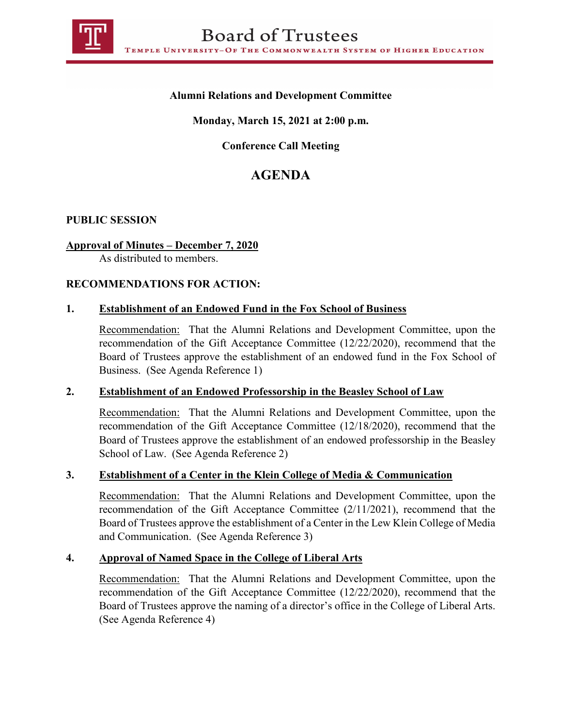

## **Alumni Relations and Development Committee**

## **Monday, March 15, 2021 at 2:00 p.m.**

## **Conference Call Meeting**

# **AGENDA**

## **PUBLIC SESSION**

## **Approval of Minutes – December 7, 2020**

As distributed to members.

#### **RECOMMENDATIONS FOR ACTION:**

## **1. Establishment of an Endowed Fund in the Fox School of Business**

Recommendation: That the Alumni Relations and Development Committee, upon the recommendation of the Gift Acceptance Committee (12/22/2020), recommend that the Board of Trustees approve the establishment of an endowed fund in the Fox School of Business. (See Agenda Reference 1)

#### **2. Establishment of an Endowed Professorship in the Beasley School of Law**

Recommendation: That the Alumni Relations and Development Committee, upon the recommendation of the Gift Acceptance Committee (12/18/2020), recommend that the Board of Trustees approve the establishment of an endowed professorship in the Beasley School of Law. (See Agenda Reference 2)

#### **3. Establishment of a Center in the Klein College of Media & Communication**

Recommendation: That the Alumni Relations and Development Committee, upon the recommendation of the Gift Acceptance Committee (2/11/2021), recommend that the Board of Trustees approve the establishment of a Center in the Lew Klein College of Media and Communication. (See Agenda Reference 3)

#### **4. Approval of Named Space in the College of Liberal Arts**

Recommendation: That the Alumni Relations and Development Committee, upon the recommendation of the Gift Acceptance Committee (12/22/2020), recommend that the Board of Trustees approve the naming of a director's office in the College of Liberal Arts. (See Agenda Reference 4)